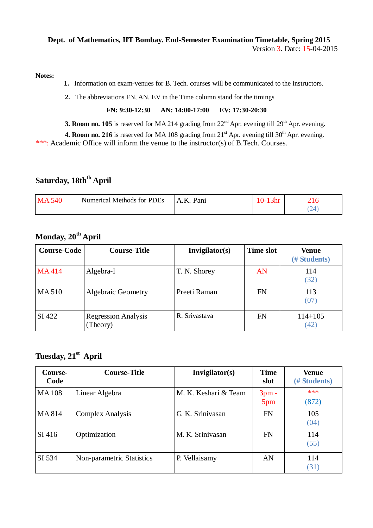#### **Dept. of Mathematics, IIT Bombay. End-Semester Examination Timetable, Spring 2015** Version 3. Date: 15-04-2015

**Notes:**

- **1.** Information on exam-venues for B. Tech. courses will be communicated to the instructors.
- **2.** The abbreviations FN, AN, EV in the Time column stand for the timings

#### **FN: 9:30-12:30 AN: 14:00-17:00 EV: 17:30-20:30**

**3. Room no. 105** is reserved for MA 214 grading from  $22<sup>nd</sup>$  Apr. evening till  $29<sup>th</sup>$  Apr. evening.

**4. Room no. 216** is reserved for MA 108 grading from  $21<sup>st</sup>$  Apr. evening till  $30<sup>th</sup>$  Apr. evening. \*\*\*: Academic Office will inform the venue to the instructor(s) of B.Tech. Courses.

# **Saturday, 18thth April**

| M<br>٠4ſ | Numerical Methods for PDEs | Pani<br>А | 40<br>- |
|----------|----------------------------|-----------|---------|
|          |                            |           |         |

# **Monday, 20th April**

| <b>Course-Code</b> | <b>Course-Title</b>                    | Invigilator(s) | <b>Time slot</b> | Venue<br>(# Students) |
|--------------------|----------------------------------------|----------------|------------------|-----------------------|
| MA414              | Algebra-I                              | T. N. Shorey   | AN               | 114<br>(32)           |
| <b>MA510</b>       | <b>Algebraic Geometry</b>              | Preeti Raman   | FN               | 113<br>(07)           |
| SI 422             | <b>Regression Analysis</b><br>(Theory) | R. Srivastava  | FN               | $114 + 105$<br>(42)   |

# **Tuesday, 21st April**

| Course-<br>Code | <b>Course-Title</b>       | Invigilator(s)       | <b>Time</b><br>slot | <b>Venue</b><br>(# Students) |
|-----------------|---------------------------|----------------------|---------------------|------------------------------|
| <b>MA108</b>    | Linear Algebra            | M. K. Keshari & Team | $3pm -$<br>5pm      | ***<br>(872)                 |
| MA 814          | <b>Complex Analysis</b>   | G. K. Srinivasan     | <b>FN</b>           | 105<br>(04)                  |
| SI 416          | Optimization              | M. K. Srinivasan     | <b>FN</b>           | 114<br>(55)                  |
| SI 534          | Non-parametric Statistics | P. Vellaisamy        | AN                  | 114<br>(31)                  |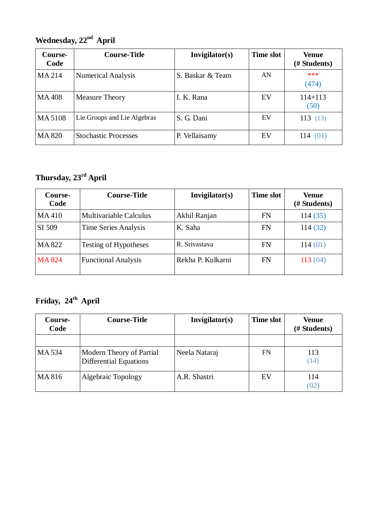## $\boldsymbol{\mathrm{Wednesday, 22^{nd} \; April}}$

| Course-<br>Code | <b>Course-Title</b>         | Invigilator(s)   | <b>Time slot</b> | Venue<br>(# Students) |
|-----------------|-----------------------------|------------------|------------------|-----------------------|
| MA 214          | <b>Numerical Analysis</b>   | S. Baskar & Team | AN               | ***<br>(474)          |
| <b>MA408</b>    | <b>Measure Theory</b>       | I. K. Rana       | EV               | $114 + 113$<br>(50)   |
| MA 5108         | Lie Groups and Lie Algebras | S. G. Dani       | EV               | 113(13)               |
| <b>MA 820</b>   | <b>Stochastic Processes</b> | P. Vellaisamy    | EV               | 114<br>(01)           |

## $\boldsymbol{\mathrm{T}}$ hursday, 23 $\mathrm{^{rd}}$  April

| Course-<br>Code | <b>Course-Title</b>        | Invigilator(s)    | <b>Time slot</b> | Venue<br>(# Students) |
|-----------------|----------------------------|-------------------|------------------|-----------------------|
| MA410           | Multivariable Calculus     | Akhil Ranjan      | FN               | 114(35)               |
| SI 509          | Time Series Analysis       | K. Saha           | FN               | 114(32)               |
| MA 822          | Testing of Hypotheses      | R. Srivastava     | FN               | 114(01)               |
| <b>MA824</b>    | <b>Functional Analysis</b> | Rekha P. Kulkarni | FN               | 113(04)               |

## **Friday, 24 th April**

| Course-<br>Code | <b>Course-Title</b>                                       | Invigilator(s) | Time slot | Venue<br>(# Students) |
|-----------------|-----------------------------------------------------------|----------------|-----------|-----------------------|
| MA 534          | Modern Theory of Partial<br><b>Differential Equations</b> | Neela Nataraj  | FN        | 113<br>(14)           |
| MA 816          | Algebraic Topology                                        | A.R. Shastri   | EV        | 114<br>(02)           |